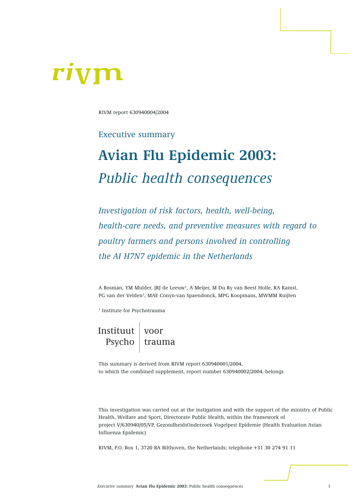# rivi

RIVM report 630940004/2004

## Executive summary

## **Avian Flu Epidemic 2003:**  *Public health consequences*

*Investigation of risk factors, health, well-being, health-care needs, and preventive measures with regard to poultry farmers and persons involved in controlling the AI H7N7 epidemic in the Netherlands*

A Bosman, YM Mulder, JRJ de Leeuw<sup>1</sup>, A Meijer, M Du Ry van Beest Holle, RA Kamst, PG van der Velden<sup>1</sup>, MAE Conyn-van Spaendonck, MPG Koopmans, MWMM Ruijten

<sup>1</sup> Institute for Psychotrauma

Instituut Psycho voor trauma

This summary is derived from RIVM report 630940001/2004, to which the combined supplement, report number 630940002/2004, belongs

This investigation was carried out at the instigation and with the support of the ministry of Public Health, Welfare and Sport, Directorate Public Health, within the framework of project V/630940/05/VP, GezondheidsOnderzoek Vogelpest Epidemie (Health Evaluation Avian Influenza Epidemic)

RIVM, P.O. Box 1, 3720 BA Bilthoven, the Netherlands; telephone +31 30 274 91 11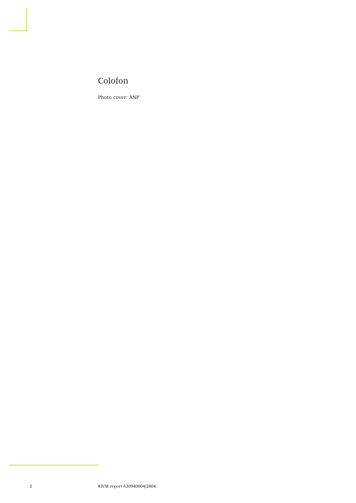## Colofon

Photo cover: ANP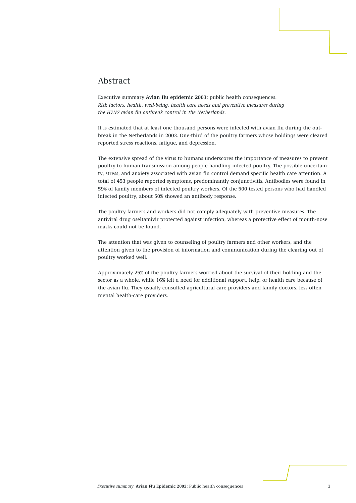#### Abstract

Executive summary **Avian flu epidemic 2003**: public health consequences. *Risk factors, health, well-being, health care needs and preventive measures during the H7N7 avian flu outbreak control in the Netherlands.*

It is estimated that at least one thousand persons were infected with avian flu during the outbreak in the Netherlands in 2003. One-third of the poultry farmers whose holdings were cleared reported stress reactions, fatigue, and depression.

The extensive spread of the virus to humans underscores the importance of measures to prevent poultry-to-human transmission among people handling infected poultry. The possible uncertainty, stress, and anxiety associated with avian flu control demand specific health care attention. A total of 453 people reported symptoms, predominantly conjunctivitis. Antibodies were found in 59% of family members of infected poultry workers. Of the 500 tested persons who had handled infected poultry, about 50% showed an antibody response.

The poultry farmers and workers did not comply adequately with preventive measures. The antiviral drug oseltamivir protected against infection, whereas a protective effect of mouth-nose masks could not be found.

The attention that was given to counseling of poultry farmers and other workers, and the attention given to the provision of information and communication during the clearing out of poultry worked well.

Approximately 25% of the poultry farmers worried about the survival of their holding and the sector as a whole, while 16% felt a need for additional support, help, or health care because of the avian flu. They usually consulted agricultural care providers and family doctors, less often mental health-care providers.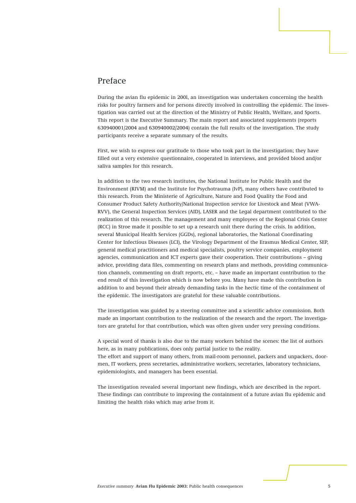#### Preface

During the avian flu epidemic in 200l, an investigation was undertaken concerning the health risks for poultry farmers and for persons directly involved in controlling the epidemic. The investigation was carried out at the direction of the Ministry of Public Health, Welfare, and Sports. This report is the Executive Summary. The main report and associated supplements (reports 630940001/2004 and 630940002/2004) contain the full results of the investigation. The study participants receive a separate summary of the results.

First, we wish to express our gratitude to those who took part in the investigation; they have filled out a very extensive questionnaire, cooperated in interviews, and provided blood and/or saliva samples for this research.

In addition to the two research institutes, the National Institute for Public Health and the Environment (RIVM) and the Institute for Psychotrauma (IvP), many others have contributed to this research. From the Ministerie of Agriculture, Nature and Food Quality the Food and Consumer Product Safety Authority/National Inspection service for Livestock and Meat (VWA-RVV), the General Inspection Services (AID), LASER and the Legal department contributed to the realization of this research. The management and many employees of the Regional Crisis Center (RCC) in Stroe made it possible to set up a research unit there during the crisis. In addition, several Municipal Health Services (GGDs), regional laboratories, the National Coordinating Center for Infectious Diseases (LCI), the Virology Department of the Erasmus Medical Center, SEP, general medical practitioners and medical specialists, poultry service companies, employment agencies, communication and ICT experts gave their cooperation. Their contributions – giving advice, providing data files, commenting on research plans and methods, providing communication channels, commenting on draft reports, etc. – have made an important contribution to the end result of this investigation which is now before you. Many have made this contribution in addition to and beyond their already demanding tasks in the hectic time of the containment of the epidemic. The investigators are grateful for these valuable contributions.

The investigation was guided by a steering committee and a scientific advice commission. Both made an important contribution to the realization of the research and the report. The investigators are grateful for that contribution, which was often given under very pressing conditions.

A special word of thanks is also due to the many workers behind the scenes: the list of authors here, as in many publications, does only partial justice to the reality. The effort and support of many others, from mail-room personnel, packers and unpackers, doormen, IT workers, press secretaries, administrative workers, secretaries, laboratory technicians, epidemiologists, and managers has been essential.

The investigation revealed several important new findings, which are described in the report. These findings can contribute to improving the containment of a future avian flu epidemic and limiting the health risks which may arise from it.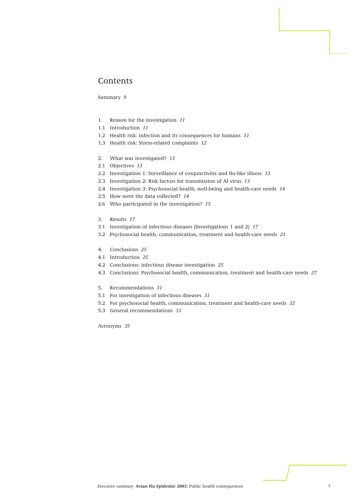#### Contents

Summary *9*

- 1. Reason for the investigation *11*
- 1.1 Introduction *11*
- 1.2 Health risk: infection and its consequences for humans *11*
- 1.3 Health risk: Stress-related complaints *12*
- 2. What was investigated? *13*
- 2.1 Objectives *13*
- 2.2 Investigation 1: Surveillance of conjunctivitis and flu-like illness *13*
- 2.3 Investigation 2: Risk factors for transmission of AI virus *13*
- 2.4 Investigation 3: Psychosocial health, well-being and health-care needs *14*
- 2.5 How were the data collected? *14*
- 2.6 Who participated in the investigation? *15*
- 3. Results *17*
- 3.1 Investigation of infectious diseases (Investigations 1 and 2) *17*
- 3.2 Psychosocial health, communication, treatment and health-care needs *21*
- 4. Conclusions *25*
- 4.1 Introduction *25*
- 4.2 Conclusions: infectious disease investigation *25*
- 4.3 Conclusions: Psychosocial health, communication, treatment and health-care needs *27*
- 5. Recommendations *31*
- 5.1 For investigation of infectious diseases *31*
- 5.2 For psychosocial health, communication, treatment and health-care needs *32*
- 5.3 General recommendations *33*

Acronyms *35*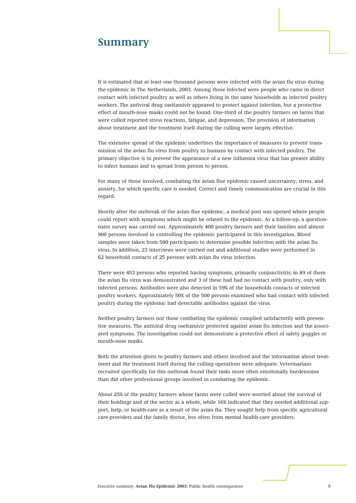## **Summary**

It is estimated that at least one thousand persons were infected with the avian flu virus during the epidemic in The Netherlands, 2003. Among those infected were people who came in direct contact with infected poultry as well as others living in the same households as infected poultry workers. The antiviral drug oseltamivir appeared to protect against infection, but a protective effect of mouth-nose masks could not be found. One-third of the poultry farmers on farms that were culled reported stress reactions, fatigue, and depression. The provision of information about treatment and the treatment itself during the culling were largely effective.

The extensive spread of the epidemic underlines the importance of measures to prevent transmission of the avian flu virus from poultry to humans by contact with infected poultry. The primary objective is to prevent the appearance of a new influenza virus that has greater ability to infect humans and to spread from person to person.

For many of those involved, combating the avian flue epidemic caused uncertainty, stress, and anxiety, for which specific care is needed. Correct and timely communication are crucial in this regard.

Shortly after the outbreak of the avian flue epidemic, a medical post was opened where people could report with symptoms which might be related to the epidemic. As a follow-up, a questionnaire survey was carried out. Approximately 400 poultry farmers and their families and almost 900 persons involved in controlling the epidemic participated in this investigation. Blood samples were taken from 500 participants to determine possible infection with the avian flu virus. In addition, 23 interviews were carried out and additional studies were performed in 62 household contacts of 25 persons with avian flu virus infection.

There were 453 persons who reported having symptoms, primarily conjunctivitis; in 89 of them the avian flu virus was demonstrated and 3 of these had had no contact with poultry, only with infected persons. Antibodies were also detected in 59% of the households contacts of infected poultry workers. Approximately 50% of the 500 persons examined who had contact with infected poultry during the epidemic had detectable antibodies against the virus.

Neither poultry farmers nor those combating the epidemic complied satisfactorily with preventive measures. The antiviral drug oseltamivir protected against avian flu infection and the associated symptoms. The investigation could not demonstrate a protective effect of safety goggles or mouth-nose masks.

Both the attention given to poultry farmers and others involved and the information about treatment and the treatment itself during the culling operations were adequate. Veterinarians recruited specifically for this outbreak found their tasks more often emotionally burdensome than did other professional groups involved in combating the epidemic.

About 25% of the poultry farmers whose farms were culled were worried about the survival of their holdings and of the sector as a whole, while 16% indicated that they needed additional support, help, or health-care as a result of the avian flu. They sought help from specific agricultural care-providers and the family doctor, less often from mental health-care providers.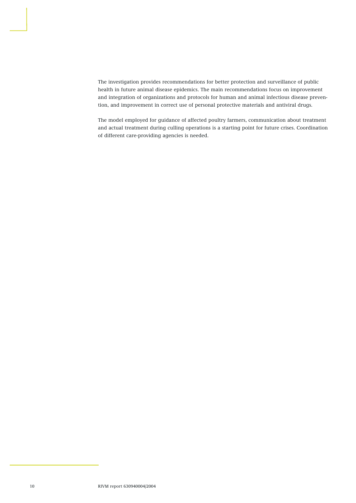The investigation provides recommendations for better protection and surveillance of public health in future animal disease epidemics. The main recommendations focus on improvement and integration of organizations and protocols for human and animal infectious disease prevention, and improvement in correct use of personal protective materials and antiviral drugs.

The model employed for guidance of affected poultry farmers, communication about treatment and actual treatment during culling operations is a starting point for future crises. Coordination of different care-providing agencies is needed.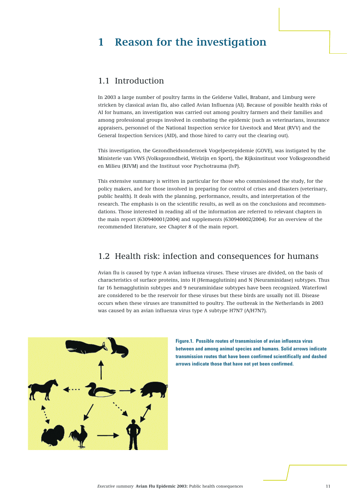## **1 Reason for the investigation**

#### 1.1 Introduction

In 2003 a large number of poultry farms in the Gelderse Vallei, Brabant, and Limburg were stricken by classical avian flu, also called Avian Influenza (AI). Because of possible health risks of AI for humans, an investigation was carried out among poultry farmers and their families and among professional groups involved in combating the epidemic (such as veterinarians, insurance appraisers, personnel of the National Inspection service for Livestock and Meat (RVV) and the General Inspection Services (AID), and those hired to carry out the clearing out).

This investigation, the Gezondheidsonderzoek Vogelpestepidemie (GOVE), was instigated by the Ministerie van VWS (Volksgezondheid, Welzijn en Sport), the Rijksinstituut voor Volksgezondheid en Milieu (RIVM) and the Instituut voor Psychotrauma (IvP).

This extensive summary is written in particular for those who commissioned the study, for the policy makers, and for those involved in preparing for control of crises and disasters (veterinary, public health). It deals with the planning, performance, results, and interpretation of the research. The emphasis is on the scientific results, as well as on the conclusions and recommendations. Those interested in reading all of the information are referred to relevant chapters in the main report (630940001/2004) and supplements (630940002/2004). For an overview of the recommended literature, see Chapter 8 of the main report.

#### 1.2 Health risk: infection and consequences for humans

Avian flu is caused by type A avian influenza viruses. These viruses are divided, on the basis of characteristics of surface proteins, into H (Hemagglutinin) and N (Neuraminidase) subtypes. Thus far 16 hemagglutinin subtypes and 9 neuraminidase subtypes have been recognized. Waterfowl are considered to be the reservoir for these viruses but these birds are usually not ill. Disease occurs when these viruses are transmitted to poultry. The outbreak in the Netherlands in 2003 was caused by an avian influenza virus type A subtype H7N7 (A/H7N7).



**Figure.1. Possible routes of transmission of avian influenza virus between and among animal species and humans. Solid arrows indicate transmission routes that have been confirmed scientifically and dashed arrows indicate those that have not yet been confirmed.**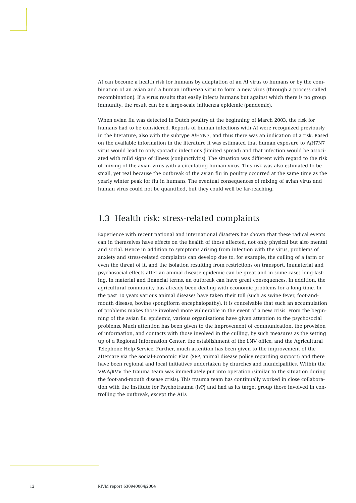AI can become a health risk for humans by adaptation of an AI virus to humans or by the combination of an avian and a human influenza virus to form a new virus (through a process called recombination). If a virus results that easily infects humans but against which there is no group immunity, the result can be a large-scale influenza epidemic (pandemic).

When avian flu was detected in Dutch poultry at the beginning of March 2003, the risk for humans had to be considered. Reports of human infections with AI were recognized previously in the literature, also with the subtype A/H7N7, and thus there was an indication of a risk. Based on the available information in the literature it was estimated that human exposure to A/H7N7 virus would lead to only sporadic infections (limited spread) and that infection would be associated with mild signs of illness (conjunctivitis). The situation was different with regard to the risk of mixing of the avian virus with a circulating human virus. This risk was also estimated to be small, yet real because the outbreak of the avian flu in poultry occurred at the same time as the yearly winter peak for flu in humans. The eventual consequences of mixing of avian virus and human virus could not be quantified, but they could well be far-reaching.

### 1.3 Health risk: stress-related complaints

Experience with recent national and international disasters has shown that these radical events can in themselves have effects on the health of those affected, not only physical but also mental and social. Hence in addition to symptoms arising from infection with the virus, problems of anxiety and stress-related complaints can develop due to, for example, the culling of a farm or even the threat of it, and the isolation resulting from restrictions on transport. Immaterial and psychosocial effects after an animal disease epidemic can be great and in some cases long-lasting. In material and financial terms, an outbreak can have great consequences. In addition, the agricultural community has already been dealing with economic problems for a long time. In the past 10 years various animal diseases have taken their toll (such as swine fever, foot-andmouth disease, bovine spongiform encephalopathy). It is conceivable that such an accumulation of problems makes those involved more vulnerable in the event of a new crisis. From the beginning of the avian flu epidemic, various organizations have given attention to the psychosocial problems. Much attention has been given to the improvement of communication, the provision of information, and contacts with those involved in the culling, by such measures as the setting up of a Regional Information Center, the establishment of the LNV office, and the Agricultural Telephone Help Service. Further, much attention has been given to the improvement of the aftercare via the Social-Economic Plan (SEP, animal disease policy regarding support) and there have been regional and local initiatives undertaken by churches and municipalities. Within the VWA/RVV the trauma team was immediately put into operation (similar to the situation during the foot-and-mouth disease crisis). This trauma team has continually worked in close collaboration with the Institute for Psychotrauma (IvP) and had as its target group those involved in controlling the outbreak, except the AID.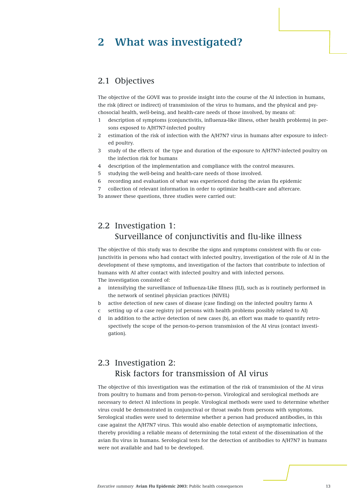## **2 What was investigated?**

#### 2.1 Objectives

The objective of the GOVE was to provide insight into the course of the AI infection in humans, the risk (direct or indirect) of transmission of the virus to humans, and the physical and psychosocial health, well-being, and health-care needs of those involved, by means of:

- 1 description of symptoms (conjunctivitis, influenza-like illness, other health problems) in persons exposed to A/H7N7-infected poultry
- 2 estimation of the risk of infection with the A/H7N7 virus in humans after exposure to infected poultry.
- 3 study of the effects of the type and duration of the exposure to A/H7N7-infected poultry on the infection risk for humans
- 4 description of the implementation and compliance with the control measures.
- 5 studying the well-being and health-care needs of those involved.
- 6 recording and evaluation of what was experienced during the avian flu epidemic

7 collection of relevant information in order to optimize health-care and aftercare. To answer these questions, three studies were carried out:

## 2.2 Investigation 1: Surveillance of conjunctivitis and flu-like illness

The objective of this study was to describe the signs and symptoms consistent with flu or conjunctivitis in persons who had contact with infected poultry, investigation of the role of AI in the development of these symptoms, and investigation of the factors that contribute to infection of humans with AI after contact with infected poultry and with infected persons. The investigation consisted of:

- a intensifying the surveillance of Influenza-Like Illness (ILI), such as is routinely performed in the network of sentinel physician practices (NIVEL)
- b active detection of new cases of disease (case finding) on the infected poultry farms A
- c setting up of a case registry (of persons with health problems possibly related to AI)
- d in addition to the active detection of new cases (b), an effort was made to quantify retrospectively the scope of the person-to-person transmission of the AI virus (contact investigation).

## 2.3 Investigation 2: Risk factors for transmission of AI virus

The objective of this investigation was the estimation of the risk of transmission of the AI virus from poultry to humans and from person-to-person. Virological and serological methods are necessary to detect AI infections in people. Virological methods were used to determine whether virus could be demonstrated in conjunctival or throat swabs from persons with symptoms. Serological studies were used to determine whether a person had produced antibodies, in this case against the A/H7N7 virus. This would also enable detection of asymptomatic infections, thereby providing a reliable means of determining the total extent of the dissemination of the avian flu virus in humans. Serological tests for the detection of antibodies to A/H7N7 in humans were not available and had to be developed.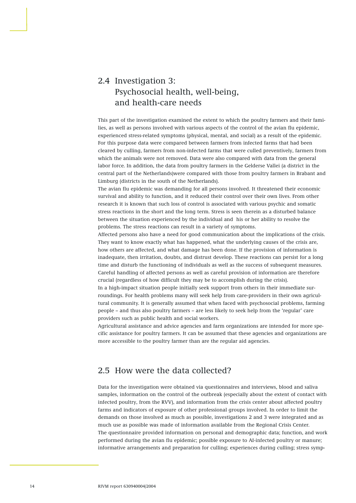## 2.4 Investigation 3: Psychosocial health, well-being, and health-care needs

This part of the investigation examined the extent to which the poultry farmers and their families, as well as persons involved with various aspects of the control of the avian flu epidemic, experienced stress-related symptoms (physical, mental, and social) as a result of the epidemic. For this purpose data were compared between farmers from infected farms that had been cleared by culling, farmers from non-infected farms that were culled preventively, farmers from which the animals were not removed. Data were also compared with data from the general labor force. In addition, the data from poultry farmers in the Gelderse Vallei (a district in the central part of the Netherlands)were compared with those from poultry farmers in Brabant and Limburg (districts in the south of the Netherlands).

The avian flu epidemic was demanding for all persons involved. It threatened their economic survival and ability to function, and it reduced their control over their own lives. From other research it is known that such loss of control is associated with various psychic and somatic stress reactions in the short and the long term. Stress is seen therein as a disturbed balance between the situation experienced by the individual and his or her ability to resolve the problems. The stress reactions can result in a variety of symptoms.

Affected persons also have a need for good communication about the implications of the crisis. They want to know exactly what has happened, what the underlying causes of the crisis are, how others are affected, and what damage has been done. If the provision of information is inadequate, then irritation, doubts, and distrust develop. These reactions can persist for a long time and disturb the functioning of individuals as well as the success of subsequent measures. Careful handling of affected persons as well as careful provision of information are therefore crucial (regardless of how difficult they may be to accomplish during the crisis).

In a high-impact situation people initially seek support from others in their immediate surroundings. For health problems many will seek help from care-providers in their own agricultural community. It is generally assumed that when faced with psychosocial problems, farming people – and thus also poultry farmers – are less likely to seek help from the 'regular' care providers such as public health and social workers.

Agricultural assistance and advice agencies and farm organizations are intended for more specific assistance for poultry farmers. It can be assumed that these agencies and organizations are more accessible to the poultry farmer than are the regular aid agencies.

## 2.5 How were the data collected?

Data for the investigation were obtained via questionnaires and interviews, blood and saliva samples, information on the control of the outbreak (especially about the extent of contact with infected poultry, from the RVV), and information from the crisis center about affected poultry farms and indicators of exposure of other professional groups involved. In order to limit the demands on those involved as much as possible, investigations 2 and 3 were integrated and as much use as possible was made of information available from the Regional Crisis Center. The questionnaire provided information on personal and demographic data; function, and work performed during the avian flu epidemic; possible exposure to AI-infected poultry or manure; informative arrangements and preparation for culling; experiences during culling; stress symp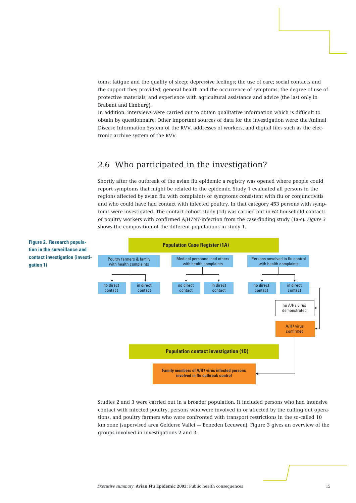toms; fatigue and the quality of sleep; depressive feelings; the use of care; social contacts and the support they provided; general health and the occurrence of symptoms; the degree of use of protective materials; and experience with agricultural assistance and advice (the last only in Brabant and Limburg).

In addition, interviews were carried out to obtain qualitative information which is difficult to obtain by questionnaire. Other important sources of data for the investigation were: the Animal Disease Information System of the RVV, addresses of workers, and digital files such as the electronic archive system of the RVV.

## 2.6 Who participated in the investigation?

Shortly after the outbreak of the avian flu epidemic a registry was opened where people could report symptoms that might be related to the epidemic. Study 1 evaluated all persons in the regions affected by avian flu with complaints or symptoms consistent with flu or conjunctivitis and who could have had contact with infected poultry. In that category 453 persons with symptoms were investigated. The contact cohort study (1d) was carried out in 62 household contacts of poultry workers with confirmed A/H7N7-infection from the case-finding study (1a-c). *Figure 2* shows the composition of the different populations in study 1.



Studies 2 and 3 were carried out in a broader population. It included persons who had intensive contact with infected poultry, persons who were involved in or affected by the culling out operations, and poultry farmers who were confronted with transport restrictions in the so-called 10 km zone (supervised area Gelderse Vallei — Beneden Leeuwen). Figure 3 gives an overview of the groups involved in investigations 2 and 3.

**Figure 2. Research population in the surveillance and contact investigation (investigation 1)**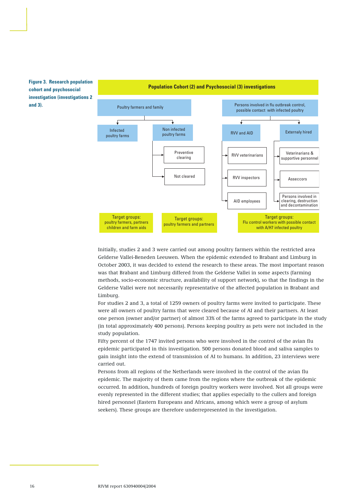

**Population Cohort (2) and Psychosocial (3) investigations**

**Figure 3. Research population cohort and psychosocial investigation (investigations 2 and 3).**

> Initially, studies 2 and 3 were carried out among poultry farmers within the restricted area Gelderse Vallei-Beneden Leeuwen. When the epidemic extended to Brabant and Limburg in October 2003, it was decided to extend the research to these areas. The most important reason was that Brabant and Limburg differed from the Gelderse Vallei in some aspects (farming methods, socio-economic structure, availability of support network), so that the findings in the Gelderse Vallei were not necessarily representative of the affected population in Brabant and Limburg.

For studies 2 and 3, a total of 1259 owners of poultry farms were invited to participate. These were all owners of poultry farms that were cleared because of AI and their partners. At least one person (owner and/or partner) of almost 33% of the farms agreed to participate in the study (in total approximately 400 persons). Persons keeping poultry as pets were not included in the study population.

Fifty percent of the 1747 invited persons who were involved in the control of the avian flu epidemic participated in this investigation. 500 persons donated blood and saliva samples to gain insight into the extend of transmission of AI to humans. In addition, 23 interviews were carried out.

Persons from all regions of the Netherlands were involved in the control of the avian flu epidemic. The majority of them came from the regions where the outbreak of the epidemic occurred. In addition, hundreds of foreign poultry workers were involved. Not all groups were evenly represented in the different studies; that applies especially to the cullers and foreign hired personnel (Eastern Europeans and Africans, among which were a group of asylum seekers). These groups are therefore underrepresented in the investigation.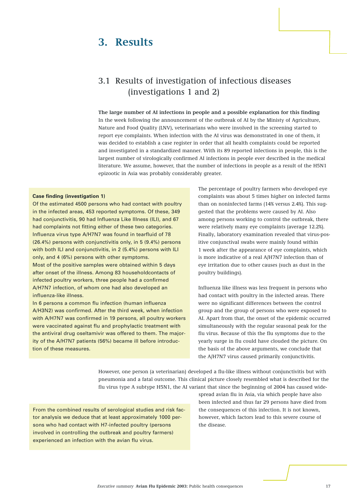## **3. Results**

## 3.1 Results of investigation of infectious diseases (investigations 1 and 2)

**The large number of AI infections in people and a possible explanation for this finding** In the week following the announcement of the outbreak of AI by the Ministy of Agriculture, Nature and Food Quality (LNV), veterinarians who were involved in the screening started to report eye complaints. When infection with the AI virus was demonstrated in one of them, it was decided to establish a case register in order that all health complaints could be reported and investigated in a standardized manner. With its 89 reported infections in people, this is the largest number of virologically confirmed AI infections in people ever described in the medical literature. We assume, however, that the number of infections in people as a result of the H5N1 epizootic in Asia was probably considerably greater.

#### **Case finding (investigation 1)**

influenza-like illness.

Of the estimated 4500 persons who had contact with poultry in the infected areas, 453 reported symptoms. Of these, 349 had conjunctivitis, 90 had Influenza Like Illness (ILI), and 67 had complaints not fitting either of these two categories. Influenza virus type A/H7N7 was found in tearfluid of 78 (26.4%) persons with conjunctivitis only, in 5 (9.4%) persons with both ILI and conjunctivitis, in 2 (5.4%) persons with ILI only, and 4 (6%) persons with other symptoms. Most of the positive samples were obtained within 5 days after onset of the illness. Among 83 householdcontacts of infected poultry workers, three people had a confirmed A/H7N7 infection, of whom one had also developed an

In 6 persons a common flu infection (human influenza A/H3N2) was confirmed. After the third week, when infection with A/H7N7 was confirmed in 19 persons, all poultry workers were vaccinated against flu and prophylactic treatment with the antiviral drug oseltamivir was offered to them. The majority of the A/H7N7 patients (56%) became ill before introduction of these measures.

The percentage of poultry farmers who developed eye complaints was about 5 times higher on infected farms than on noninfected farms (14% versus 2.4%). This suggested that the problems were caused by AI. Also among persons working to control the outbreak, there were relatively many eye complaints (average 12.2%). Finally, laboratory examination revealed that virus-positive conjunctival swabs were mainly found within 1 week after the appearance of eye complaints, which is more indicative of a real A/H7N7 infection than of eye irritation due to other causes (such as dust in the poultry buildings).

Influenza like illness was less frequent in persons who had contact with poultry in the infected areas. There were no significant differences between the control group and the group of persons who were exposed to AI. Apart from that, the onset of the epidemic occurred simultaneously with the regular seasonal peak for the flu virus. Because of this the flu symptoms due to the yearly surge in flu could have clouded the picture. On the basis of the above arguments, we conclude that the A/H7N7 virus caused primarily conjunctivitis.

However, one person (a veterinarian) developed a flu-like illness without conjunctivitis but with pneumonia and a fatal outcome. This clinical picture closely resembled what is described for the flu virus type A subtype H5N1, the AI variant that since the beginning of 2004 has caused wide-

From the combined results of serological studies and risk factor analysis we deduce that at least approximately 1000 persons who had contact with H7-infected poultry (persons involved in controlling the outbreak and poultry farmers) experienced an infection with the avian flu virus.

spread avian flu in Asia, via which people have also been infected and thus far 29 persons have died from the consequences of this infection. It is not known, however, which factors lead to this severe course of the disease.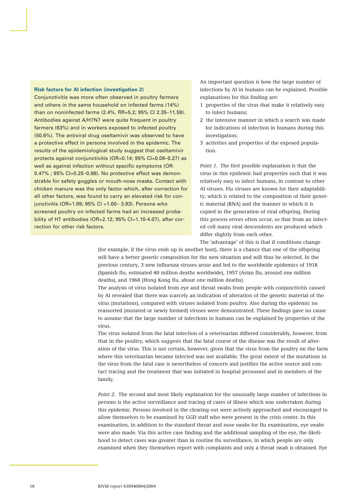#### **Risk factors for AI infection (investigation 2)**

Conjunctivitis was more often observed in poultry farmers and others in the same household on infected farms (14%) than on noninfected farms (2.4%, RR=5.2; 95% CI 2.35–11.59). Antibodies against A/H7N7 were quite frequent in poultry farmers (63%) and in workers exposed to infected poultry (50.6%). The antiviral drug oseltamivir was observed to have a protective effect in persons involved in the epidemic. The results of the epidemiological study suggest that oseltamivir protects against conjunctivitis (OR=0.14; 95% CI=0.08–0.27) as well as against infection without specific symptoms (OR-0.47% ; 95% CI=0.25–0.88). No protective effect was demonstrable for safety goggles or mouth-nose masks. Contact with chicken manure was the only factor which, after correction for all other factors, was found to carry an elevated risk for conjunctivitis (OR=1.99; 95% CI =1.00– 3.93). Persons who screened poultry on infected farms had an increased probability of H7 antibodies (OR=2.12; 95% Cl=1.10-4.07), after correction for other risk factors.

An important question is how the large number of infections by AI in humans can be explained. Possible explanations for this finding are:

- 1 properties of the virus that make it relatively easy to infect humans;
- 2 the intensive manner in which a search was made for indications of infection in humans during this investigation;
- 3 activities and properties of the exposed population.

*Point 1*. The first possible explanation is that the virus in this epidemic had properties such that it was relatively easy to infect humans, in contrast to other AI viruses. Flu viruses are known for their adaptability, which is related to the composition of their genetic material (RNA) and the manner in which it is copied in the generation of viral offspring. During this process errors often occur, so that from an infected cell many viral descendents are produced which differ slightly from each other.

The 'advantage' of this is that if conditions change

(for example, if the virus ends up in another host), there is a chance that one of the offspring will have a better genetic composition for the new situation and will thus be selected. In the previous century, 3 new influenza viruses arose and led to the worldwide epidemics of 1918 (Spanish flu, estimated 40 million deaths worldwide), 1957 (Asian flu, around one million deaths), and 1968 (Hong Kong flu, about one million deaths).

The analysis of virus isolated from eye and throat swabs from people with conjunctivitis caused by AI revealed that there was scarcely an indication of alteration of the genetic material of the virus (mutations), compared with viruses isolated from poultry. Also during the epidemic no reassorted (mutated or newly formed) viruses were demonstrated. These findings gave no cause to assume that the large number of infections in humans can be explained by properties of the virus.

The virus isolated from the fatal infection of a veterinarian differed considerably, however, from that in the poultry, which suggests that the fatal course of the disease was the result of alteration of the virus. This is not certain, however, given that the virus from the poultry on the farm where this veterinarian became infected was not available. The great extent of the mutations in the virus from the fatal case is nevertheless of concern and justifies the active source and contact tracing and the treatment that was initiated in hospital personnel and in members of the family.

*Point 2.* The second and most likely explanation for the unusually large number of infections in persons is the active surveillance and tracing of cases of illness which was undertaken during this epidemic. Persons involved in the clearing out were actively approached and encouraged to allow themselves to be examined by GGD staff who were present in the crisis center. In this examination, in addition to the standard throat and nose swabs for flu examination, eye swabs were also made. Via this active case finding and the additional sampling of the eye, the likelihood to detect cases was greater than in routine flu surveillance, in which people are only examined when they themselves report with complaints and only a throat swab is obtained. Eye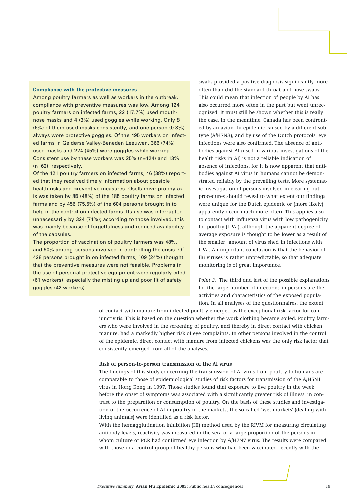#### **Compliance with the protective measures**

Among poultry farmers as well as workers in the outbreak, compliance with preventive measures was low. Among 124 poultry farmers on infected farms, 22 (17.7%) used mouthnose masks and 4 (3%) used goggles while working. Only 8 (6%) of them used masks consistently, and one person (0.8%) always wore protective goggles. Of the 495 workers on infected farms in Gelderse Valley-Beneden Leeuwen, 366 (74%) used masks and 224 (45%) wore goggles while working. Consistent use by these workers was 25% (n=124) and 13% (n=62), respectively.

Of the 121 poultry farmers on infected farms, 46 (38%) reported that they received timely information about possible health risks and preventive measures. Oseltamivir prophylaxis was taken by 85 (48%) of the 185 poultry farms on infected farms and by 456 (75.5%) of the 604 persons brought in to help in the control on infected farms. Its use was interrupted unnecessarily by 324 (71%); according to those involved, this was mainly because of forgetfulness and reduced availability of the capsules.

The proportion of vaccination of poultry farmers was 48%, and 90% among persons involved in controlling the crisis. Of 428 persons brought in on infected farms, 109 (24%) thought that the preventive measures were not feasible. Problems in the use of personal protective equipment were regularly cited (61 workers), especially the misting up and poor fit of safety goggles (42 workers).

swabs provided a positive diagnosis significantly more often than did the standard throat and nose swabs. This could mean that infection of people by AI has also occurred more often in the past but went unrecognized. It must still be shown whether this is really the case. In the meantime, Canada has been confronted by an avian flu epidemic caused by a different subtype (A/H7N3), and by use of the Dutch protocols, eye infections were also confirmed. The absence of antibodies against AI (used in various investigations of the health risks in AI) is not a reliable indication of absence of infections, for it is now apparent that antibodies against AI virus in humans cannot be demonstrated reliably by the prevailing tests. More systematic investigation of persons involved in clearing out procedures should reveal to what extent our findings were unique for the Dutch epidemic or (more likely) apparently occur much more often. This applies also to contact with influenza virus with low pathogenicity for poultry (LPAI), although the apparent degree of average exposure is thought to be lower as a result of the smaller amount of virus shed in infections with LPAI. An important conclusion is that the behavior of flu viruses is rather unpredictable, so that adequate monitoring is of great importance.

*Point 3.* The third and last of the possible explanations for the large number of infections in persons are the activities and characteristics of the exposed population. In all analyses of the questionnaires, the extent

of contact with manure from infected poultry emerged as the exceptional risk factor for conjunctivitis. This is based on the question whether the work clothing became soiled. Poultry farmers who were involved in the screening of poultry, and thereby in direct contact with chicken manure, had a markedly higher risk of eye complaints. In other persons involved in the control of the epidemic, direct contact with manure from infected chickens was the only risk factor that consistently emerged from all of the analyses.

#### **Risk of person-to-person transmission of the AI virus**

The findings of this study concerning the transmission of AI virus from poultry to humans are comparable to those of epidemiological studies of risk factors for transmission of the A/H5N1 virus in Hong Kong in 1997. Those studies found that exposure to live poultry in the week before the onset of symptoms was associated with a significantly greater risk of illness, in contrast to the preparation or consumption of poultry. On the basis of these studies and investigation of the occurrence of AI in poultry in the markets, the so-called 'wet markets' (dealing with living animals) were identified as a risk factor.

With the hemagglutination inhibition (HI) method used by the RIVM for measuring circulating antibody levels, reactivity was measured in the sera of a large proportion of the persons in whom culture or PCR had confirmed eye infection by A/H7N7 virus. The results were compared with those in a control group of healthy persons who had been vaccinated recently with the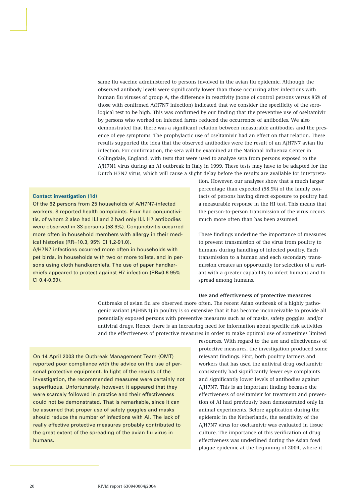same flu vaccine administered to persons involved in the avian flu epidemic. Although the observed antibody levels were significantly lower than those occurring after infections with human flu viruses of group A, the difference in reactivity (none of control persons versus 85% of those with confirmed A/H7N7 infection) indicated that we consider the specificity of the serological test to be high. This was confirmed by our finding that the preventive use of oseltamivir by persons who worked on infected farms reduced the occurrence of antibodies. We also demonstrated that there was a significant relation between measurable antibodies and the presence of eye symptoms. The prophylactic use of oseltamivir had an effect on that relation. These results supported the idea that the observed antibodies were the result of an A/H7N7 avian flu infection. For confirmation, the sera will be examined at the National Influenza Center in Collingdale, England, with tests that were used to analyze sera from persons exposed to the A/H7N1 virus during an AI outbreak in Italy in 1999. These tests may have to be adapted for the Dutch H7N7 virus, which will cause a slight delay before the results are available for interpreta-

#### **Contact investigation (1d)**

Of the 62 persons from 25 households of A/H7N7-infected workers, 8 reported health complaints. Four had conjunctivitis, of whom 2 also had ILI and 2 had only ILI. H7 antibodies were observed in 33 persons (58.9%). Conjunctivitis occurred more often in household members with allergy in their medical histories (RR=10.3, 95% CI 1.2-91.0).

A/H7N7 infections occurred more often in households with pet birds, in households with two or more toilets, and in persons using cloth handkerchiefs. The use of paper handkerchiefs appeared to protect against H7 infection (RR=0.6 95% CI 0.4-0.99).

tion. However, our analyses show that a much larger percentage than expected (58.9%) of the family contacts of persons having direct exposure to poultry had a measurable response in the HI test. This means that the person-to-person transmission of the virus occurs much more often than has been assumed.

These findings underline the importance of measures to prevent transmission of the virus from poultry to humans during handling of infected poultry. Each transmission to a human and each secondary transmission creates an opportunity for selection of a variant with a greater capability to infect humans and to spread among humans.

#### **Use and effectiveness of protective measures**

Outbreaks of avian flu are observed more often. The recent Asian outbreak of a highly pathogenic variant (A/H5N1) in poultry is so extensive that it has become inconceivable to provide all potentially exposed persons with preventive measures such as of masks, safety goggles, and/or antiviral drugs. Hence there is an increasing need for information about specific risk activities and the effectiveness of protective measures in order to make optimal use of sometimes limited

On 14 April 2003 the Outbreak Management Team (OMT) reported poor compliance with the advice on the use of personal protective equipment. In light of the results of the investigation, the recommended measures were certainly not superfluous. Unfortunately, however, it appeared that they were scarcely followed in practice and their effectiveness could not be demonstrated. That is remarkable, since it can be assumed that proper use of safety goggles and masks should reduce the number of infections with AI. The lack of really effective protective measures probably contributed to the great extent of the spreading of the avian flu virus in humans.

resources. With regard to the use and effectiveness of protective measures, the investigation produced some relevant findings. First, both poultry farmers and workers that has used the antiviral drug oseltamivir consistently had significantly fewer eye complaints and significantly lower levels of antibodies against A/H7N7. This is an important finding because the effectiveness of oseltamivir for treatment and prevention of AI had previously been demonstrated only in animal experiments. Before application during the epidemic in the Netherlands, the sensitivity of the A/H7N7 virus for oseltamivir was evaluated in tissue culture. The importance of this verification of drug effectiveness was underlined during the Asian fowl plague epidemic at the beginning of 2004, where it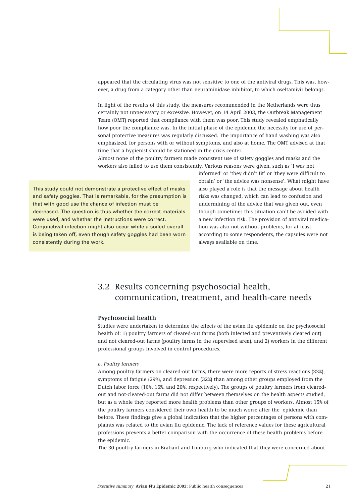appeared that the circulating virus was not sensitive to one of the antiviral drugs. This was, however, a drug from a category other than neuraminidase inhibitor, to which oseltamivir belongs.

In light of the results of this study, the measures recommended in the Netherlands were thus certainly not unnecessary or excessive. However, on 14 April 2003, the Outbreak Management Team (OMT) reported that compliance with them was poor. This study revealed emphatically how poor the compliance was. In the initial phase of the epidemic the necessity for use of personal protective measures was regularly discussed. The importance of hand washing was also emphasized, for persons with or without symptoms, and also at home. The OMT advised at that time that a hygienist should be stationed in the crisis center.

Almost none of the poultry farmers made consistent use of safety goggles and masks and the workers also failed to use them consistently. Various reasons were given, such as 'I was not

This study could not demonstrate a protective effect of masks and safety goggles. That is remarkable, for the presumption is that with good use the chance of infection must be decreased. The question is thus whether the correct materials were used, and whether the instructions were correct. Conjunctival infection might also occur while a soiled overall is being taken off, even though safety goggles had been worn consistently during the work.

informed' or 'they didn't fit' or 'they were difficult to obtain' or 'the advice was nonsense'. What might have also played a role is that the message about health risks was changed, which can lead to confusion and undermining of the advice that was given out, even though sometimes this situation can't be avoided with a new infection risk. The provision of antiviral medication was also not without problems, for at least according to some respondents, the capsules were not always available on time.

## 3.2 Results concerning psychosocial health, communication, treatment, and health-care needs

#### **Psychosocial health**

Studies were undertaken to determine the effects of the avian flu epidemic on the psychosocial health of: 1) poultry farmers of cleared-out farms (both infected and preventively cleared out) and not cleared-out farms (poultry farms in the supervised area), and 2) workers in the different professional groups involved in control procedures.

#### *a. Poultry farmers*

Among poultry farmers on cleared-out farms, there were more reports of stress reactions (33%), symptoms of fatigue (29%), and depression (32%) than among other groups employed from the Dutch labor force (16%, 16%, and 20%, respectively). The groups of poultry farmers from clearedout and not-cleared-out farms did not differ between themselves on the health aspects studied, but as a whole they reported more health problems than other groups of workers. Almost 15% of the poultry farmers considered their own health to be much worse after the epidemic than before. These findings give a global indication that the higher percentages of persons with complaints was related to the avian flu epidemic. The lack of reference values for these agricultural professions prevents a better comparison with the occurrence of these health problems before the epidemic.

The 30 poultry farmers in Brabant and Limburg who indicated that they were concerned about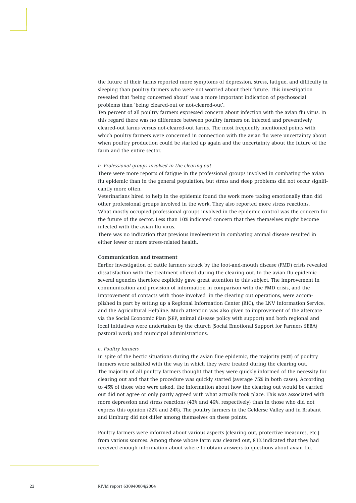the future of their farms reported more symptoms of depression, stress, fatigue, and difficulty in sleeping than poultry farmers who were not worried about their future. This investigation revealed that 'being concerned about' was a more important indication of psychosocial problems than 'being cleared-out or not-cleared-out'.

Ten percent of all poultry farmers expressed concern about infection with the avian flu virus. In this regard there was no difference between poultry farmers on infected and preventively cleared-out farms versus not-cleared-out farms. The most frequently mentioned points with which poultry farmers were concerned in connection with the avian flu were uncertainty about when poultry production could be started up again and the uncertainty about the future of the farm and the entire sector.

#### *b. Professional groups involved in the clearing out*

There were more reports of fatigue in the professional groups involved in combating the avian flu epidemic than in the general population, but stress and sleep problems did not occur significantly more often.

Veterinarians hired to help in the epidemic found the work more taxing emotionally than did other professional groups involved in the work. They also reported more stress reactions. What mostly occupied professional groups involved in the epidemic control was the concern for the future of the sector. Less than 10% indicated concern that they themselves might become infected with the avian flu virus.

There was no indication that previous involvement in combating animal disease resulted in either fewer or more stress-related health.

#### **Communication and treatment**

Earlier investigation of cattle farmers struck by the foot-and-mouth disease (FMD) crisis revealed dissatisfaction with the treatment offered during the clearing out. In the avian flu epidemic several agencies therefore explicitly gave great attention to this subject. The improvement in communication and provision of information in comparison with the FMD crisis, and the improvement of contacts with those involved in the clearing out operations, were accomplished in part by setting up a Regional Information Center (RIC), the LNV Information Service, and the Agricultural Helpline. Much attention was also given to improvement of the aftercare via the Social Economic Plan (SEP, animal disease policy with support) and both regional and local initiatives were undertaken by the church (Social Emotional Support for Farmers SEBA/ pastoral work) and municipal administrations.

#### *a. Poultry farmers*

In spite of the hectic situations during the avian flue epidemic, the majority (90%) of poultry farmers were satisfied with the way in which they were treated during the clearing out. The majority of all poultry farmers thought that they were quickly informed of the necessity for clearing out and that the procedure was quickly started (average 75% in both cases). According to 45% of those who were asked, the information about how the clearing out would be carried out did not agree or only partly agreed with what actually took place. This was associated with more depression and stress reactions (43% and 46%, respectively) than in those who did not express this opinion (22% and 24%). The poultry farmers in the Gelderse Valley and in Brabant and Limburg did not differ among themselves on these points.

Poultry farmers were informed about various aspects (clearing out, protective measures, etc.) from various sources. Among those whose farm was cleared out, 81% indicated that they had received enough information about where to obtain answers to questions about avian flu.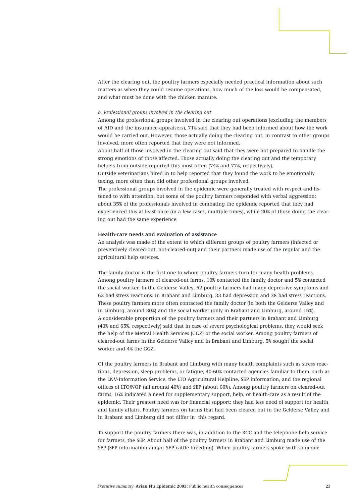After the clearing out, the poultry farmers especially needed practical information about such matters as when they could resume operations, how much of the loss would be compensated, and what must be done with the chicken manure.

#### *b. Professional groups involved in the clearing out*

Among the professional groups involved in the clearing out operations (excluding the members of AID and the insurance appraisers), 71% said that they had been informed about how the work would be carried out. However, those actually doing the clearing out, in contrast to other groups involved, more often reported that they were not informed.

About half of those involved in the clearing out said that they were not prepared to handle the strong emotions of those affected. Those actually doing the clearing out and the temporary helpers from outside reported this most often (74% and 77%, respectively).

Outside veterinarians hired in to help reported that they found the work to be emotionally taxing, more often than did other professional groups involved.

The professional groups involved in the epidemic were generally treated with respect and listened to with attention, but some of the poultry farmers responded with verbal aggression: about 35% of the professionals involved in combating the epidemic reported that they had experienced this at least once (in a few cases, multiple times), while 20% of those doing the clearing out had the same experience.

#### **Health-care needs and evaluation of assistance**

An analysis was made of the extent to which different groups of poultry farmers (infected or preventively cleared-out, not-cleared-out) and their partners made use of the regular and the agricultural help services.

The family doctor is the first one to whom poultry farmers turn for many health problems. Among poultry farmers of cleared-out farms, 19% contacted the family doctor and 5% contacted the social worker. In the Gelderse Valley, 52 poultry farmers had many depressive symptoms and 62 had stress reactions. In Brabant and Limburg, 33 had depression and 38 had stress reactions. These poultry farmers more often contacted the family doctor (in both the Gelderse Valley and in Limburg, around 30%) and the social worker (only in Brabant and Limburg, around 15%). A considerable proportion of the poultry farmers and their partners in Brabant and Limburg (40% and 65%, respectively) said that in case of severe psychological problems, they would seek the help of the Mental Health Services (GGZ) or the social worker. Among poultry farmers of cleared-out farms in the Gelderse Valley and in Brabant and Limburg, 5% sought the social worker and 4% the GGZ.

Of the poultry farmers in Brabant and Limburg with many health complaints such as stress reactions, depression, sleep problems, or fatigue, 40-60% contacted agencies familiar to them, such as the LNV-Information Service, the LTO Agricultural Helpline, SEP information, and the regional offices of LTO/NOP (all around 40%) and SEP (about 60%). Among poultry farmers on cleared-out farms, 16% indicated a need for supplementary support, help, or health-care as a result of the epidemic. Their greatest need was for financial support; they had less need of support for health and family affairs. Poultry farmers on farms that had been cleared out in the Gelderse Valley and in Brabant and Limburg did not differ in this regard.

To support the poultry farmers there was, in addition to the RCC and the telephone help service for farmers, the SEP. About half of the poultry farmers in Brabant and Limburg made use of the SEP (SEP information and/or SEP cattle breeding). When poultry farmers spoke with someone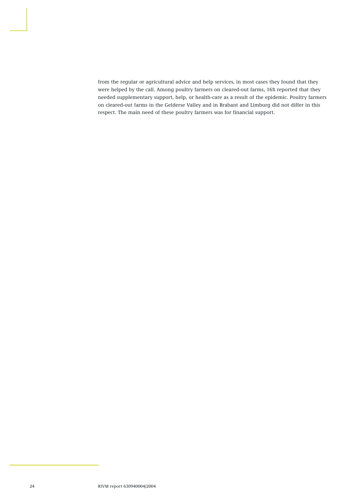from the regular or agricultural advice and help services, in most cases they found that they were helped by the call. Among poultry farmers on cleared-out farms, 16% reported that they needed supplementary support, help, or health-care as a result of the epidemic. Poultry farmers on cleared-out farms in the Gelderse Valley and in Brabant and Limburg did not differ in this respect. The main need of these poultry farmers was for financial support.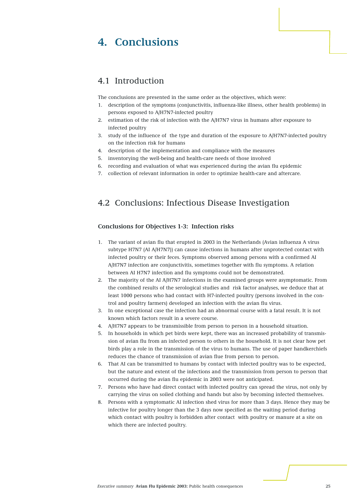## **4. Conclusions**

### 4.1 Introduction

The conclusions are presented in the same order as the objectives, which were:

- 1. description of the symptoms (conjunctivitis, influenza-like illness, other health problems) in persons exposed to A/H7N7-infected poultry
- 2. estimation of the risk of infection with the A/H7N7 virus in humans after exposure to infected poultry
- 3. study of the influence of the type and duration of the exposure to A/H7N7-infected poultry on the infection risk for humans
- 4. description of the implementation and compliance with the measures
- 5. inventorying the well-being and health-care needs of those involved
- 6. recording and evaluation of what was experienced during the avian flu epidemic
- 7. collection of relevant information in order to optimize health-care and aftercare.

## 4.2 Conclusions: Infectious Disease Investigation

#### **Conclusions for Objectives 1-3: Infection risks**

- 1. The variant of avian flu that erupted in 2003 in the Netherlands (Avian influenza A virus subtype H7N7 (AI A/H7N7)) can cause infections in humans after unprotected contact with infected poultry or their feces. Symptoms observed among persons with a confirmed AI A/H7N7 infection are conjunctivitis, sometimes together with flu symptoms. A relation between AI H7N7 infection and flu symptoms could not be demonstrated.
- 2. The majority of the AI A/H7N7 infections in the examined groups were asymptomatic. From the combined results of the serological studies and risk factor analyses, we deduce that at least 1000 persons who had contact with H7-infected poultry (persons involved in the control and poultry farmers) developed an infection with the avian flu virus.
- 3. In one exceptional case the infection had an abnormal course with a fatal result. It is not known which factors result in a severe course.
- 4. A/H7N7 appears to be transmissible from person to person in a household situation.
- 5. In households in which pet birds were kept, there was an increased probability of transmission of avian flu from an infected person to others in the household. It is not clear how pet birds play a role in the transmission of the virus to humans. The use of paper handkerchiefs reduces the chance of transmission of avian flue from person to person.
- 6. That AI can be transmitted to humans by contact with infected poultry was to be expected, but the nature and extent of the infections and the transmission from person to person that occurred during the avian flu epidemic in 2003 were not anticipated.
- 7. Persons who have had direct contact with infected poultry can spread the virus, not only by carrying the virus on soiled clothing and hands but also by becoming infected themselves.
- 8. Persons with a symptomatic AI infection shed virus for more than 3 days. Hence they may be infective for poultry longer than the 3 days now specified as the waiting period during which contact with poultry is forbidden after contact with poultry or manure at a site on which there are infected poultry.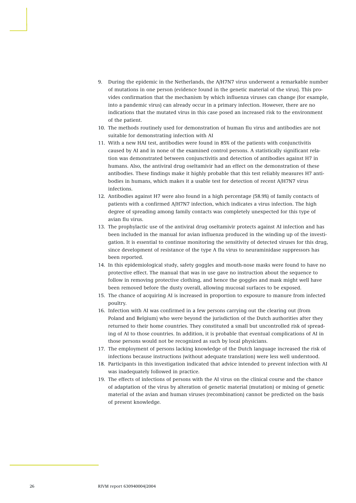- 9. During the epidemic in the Netherlands, the A/H7N7 virus underwent a remarkable number of mutations in one person (evidence found in the genetic material of the virus). This provides confirmation that the mechanism by which influenza viruses can change (for example, into a pandemic virus) can already occur in a primary infection. However, there are no indications that the mutated virus in this case posed an increased risk to the environment of the patient.
- 10. The methods routinely used for demonstration of human flu virus and antibodies are not suitable for demonstrating infection with AI
- 11. With a new HAI test, antibodies were found in 85% of the patients with conjunctivitis caused by AI and in none of the examined control persons. A statistically significant relation was demonstrated between conjunctivitis and detection of antibodies against H7 in humans. Also, the antiviral drug oseltamivir had an effect on the demonstration of these antibodies. These findings make it highly probable that this test reliably measures H7 antibodies in humans, which makes it a usable test for detection of recent A/H7N7 virus infections.
- 12. Antibodies against H7 were also found in a high percentage (58.9%) of family contacts of patients with a confirmed A/H7N7 infection, which indicates a virus infection. The high degree of spreading among family contacts was completely unexpected for this type of avian flu virus.
- 13. The prophylactic use of the antiviral drug oseltamivir protects against AI infection and has been included in the manual for avian influenza produced in the winding up of the investigation. It is essential to continue monitoring the sensitivity of detected viruses for this drug, since development of resistance of the type A flu virus to neuraminidase suppressors has been reported.
- 14. In this epidemiological study, safety goggles and mouth-nose masks were found to have no protective effect. The manual that was in use gave no instruction about the sequence to follow in removing protective clothing, and hence the goggles and mask might well have been removed before the dusty overall, allowing mucosal surfaces to be exposed.
- 15. The chance of acquiring AI is increased in proportion to exposure to manure from infected poultry.
- 16. Infection with AI was confirmed in a few persons carrying out the clearing out (from Poland and Belgium) who were beyond the jurisdiction of the Dutch authorities after they returned to their home countries. They constituted a small but uncontrolled risk of spreading of AI to those countries. In addition, it is probable that eventual complications of AI in those persons would not be recognized as such by local physicians.
- 17. The employment of persons lacking knowledge of the Dutch language increased the risk of infections because instructions (without adequate translation) were less well understood.
- 18. Participants in this investigation indicated that advice intended to prevent infection with AI was inadequately followed in practice.
- 19. The effects of infections of persons with the AI virus on the clinical course and the chance of adaptation of the virus by alteration of genetic material (mutation) or mixing of genetic material of the avian and human viruses (recombination) cannot be predicted on the basis of present knowledge.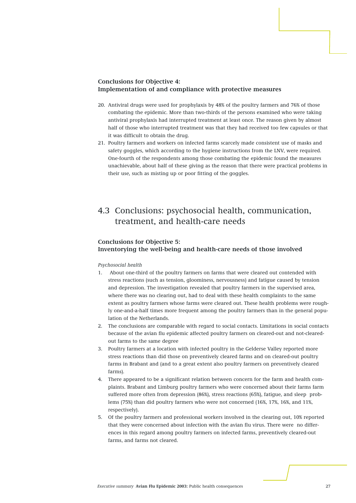#### **Conclusions for Objective 4: Implementation of and compliance with protective measures**

- 20. Antiviral drugs were used for prophylaxis by 48% of the poultry farmers and 76% of those combating the epidemic. More than two-thirds of the persons examined who were taking antiviral prophylaxis had interrupted treatment at least once. The reason given by almost half of those who interrupted treatment was that they had received too few capsules or that it was difficult to obtain the drug.
- 21. Poultry farmers and workers on infected farms scarcely made consistent use of masks and safety goggles, which according to the hygiene instructions from the LNV, were required. One-fourth of the respondents among those combating the epidemic found the measures unachievable, about half of these giving as the reason that there were practical problems in their use, such as misting up or poor fitting of the goggles.

## 4.3 Conclusions: psychosocial health, communication, treatment, and health-care needs

#### **Conclusions for Objective 5: Inventorying the well-being and health-care needs of those involved**

#### *Psychosocial health*

- 1. About one-third of the poultry farmers on farms that were cleared out contended with stress reactions (such as tension, gloominess, nervousness) and fatigue caused by tension and depression. The investigation revealed that poultry farmers in the supervised area, where there was no clearing out, had to deal with these health complaints to the same extent as poultry farmers whose farms were cleared out. These health problems were roughly one-and-a-half times more frequent among the poultry farmers than in the general population of the Netherlands.
- 2. The conclusions are comparable with regard to social contacts. Limitations in social contacts because of the avian flu epidemic affected poultry farmers on cleared-out and not-clearedout farms to the same degree
- 3. Poultry farmers at a location with infected poultry in the Gelderse Valley reported more stress reactions than did those on preventively cleared farms and on cleared-out poultry farms in Brabant and (and to a great extent also poultry farmers on preventively cleared farms).
- 4. There appeared to be a significant relation between concern for the farm and health complaints. Brabant and Limburg poultry farmers who were concerned about their farms farm suffered more often from depression (86%), stress reactions (65%), fatigue, and sleep problems (75%) than did poultry farmers who were not concerned (16%, 17%, 16%, and 11%, respectively).
- 5. Of the poultry farmers and professional workers involved in the clearing out, 10% reported that they were concerned about infection with the avian flu virus. There were no differences in this regard among poultry farmers on infected farms, preventively cleared-out farms, and farms not cleared.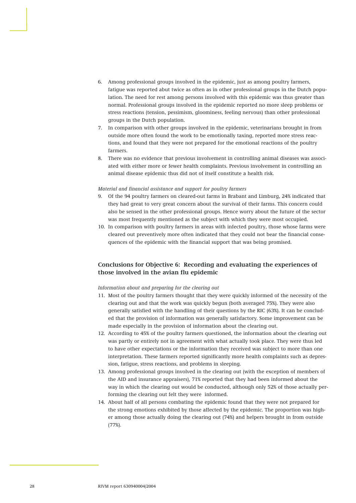- 6. Among professional groups involved in the epidemic, just as among poultry farmers, fatigue was reported abut twice as often as in other professional groups in the Dutch population. The need for rest among persons involved with this epidemic was thus greater than normal. Professional groups involved in the epidemic reported no more sleep problems or stress reactions (tension, pessimism, gloominess, feeling nervous) than other professional groups in the Dutch population.
- 7. In comparison with other groups involved in the epidemic, veterinarians brought in from outside more often found the work to be emotionally taxing, reported more stress reactions, and found that they were not prepared for the emotional reactions of the poultry farmers.
- 8. There was no evidence that previous involvement in controlling animal diseases was associated with either more or fewer health complaints. Previous involvement in controlling an animal disease epidemic thus did not of itself constitute a health risk.

#### *Material and financial assistance and support for poultry farmers*

- 9. Of the 94 poultry farmers on cleared-out farms in Brabant and Limburg, 24% indicated that they had great to very great concern about the survival of their farms. This concern could also be sensed in the other professional groups. Hence worry about the future of the sector was most frequently mentioned as the subject with which they were most occupied.
- 10. In comparison with poultry farmers in areas with infected poultry, those whose farms were cleared out preventively more often indicated that they could not bear the financial consequences of the epidemic with the financial support that was being promised.

#### **Conclusions for Objective 6: Recording and evaluating the experiences of those involved in the avian flu epidemic**

#### *Information about and preparing for the clearing out*

- 11. Most of the poultry farmers thought that they were quickly informed of the necessity of the clearing out and that the work was quickly begun (both averaged 75%). They were also generally satisfied with the handling of their questions by the RIC (63%). It can be concluded that the provision of information was generally satisfactory. Some improvement can be made especially in the provision of information about the clearing out.
- 12. According to 45% of the poultry farmers questioned, the information about the clearing out was partly or entirely not in agreement with what actually took place. They were thus led to have other expectations or the information they received was subject to more than one interpretation. These farmers reported significantly more health complaints such as depression, fatigue, stress reactions, and problems in sleeping.
- 13. Among professional groups involved in the clearing out (with the exception of members of the AID and insurance appraisers), 71% reported that they had been informed about the way in which the clearing out would be conducted, although only 52% of those actually performing the clearing out felt they were informed.
- 14. About half of all persons combating the epidemic found that they were not prepared for the strong emotions exhibited by those affected by the epidemic. The proportion was higher among those actually doing the clearing out (74%) and helpers brought in from outside (77%).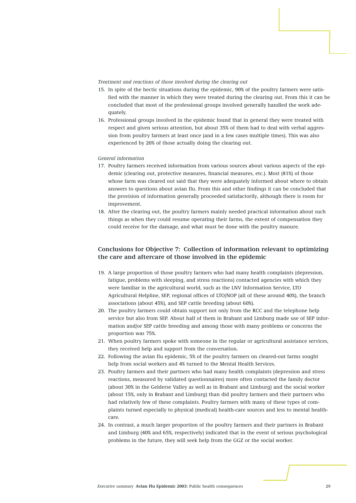#### *Treatment and reactions of those involved during the clearing out*

- 15. In spite of the hectic situations during the epidemic, 90% of the poultry farmers were satisfied with the manner in which they were treated during the clearing out. From this it can be concluded that most of the professional groups involved generally handled the work adequately.
- 16. Professional groups involved in the epidemic found that in general they were treated with respect and given serious attention, but about 35% of them had to deal with verbal aggression from poultry farmers at least once (and in a few cases multiple times). This was also experienced by 20% of those actually doing the clearing out.

#### *General information*

- 17. Poultry farmers received information from various sources about various aspects of the epidemic (clearing out, protective measures, financial measures, etc.). Most (81%) of those whose farm was cleared out said that they were adequately informed about where to obtain answers to questions about avian flu. From this and other findings it can be concluded that the provision of information generally proceeded satisfactorily, although there is room for improvement.
- 18. After the clearing out, the poultry farmers mainly needed practical information about such things as when they could resume operating their farms, the extent of compensation they could receive for the damage, and what must be done with the poultry manure.

#### **Conclusions for Objective 7: Collection of information relevant to optimizing the care and aftercare of those involved in the epidemic**

- 19. A large proportion of those poultry farmers who had many health complaints (depression, fatigue, problems with sleeping, and stress reactions) contacted agencies with which they were familiar in the agricultural world, such as the LNV Information Service, LTO Agricultural Helpline, SEP, regional offices of LTO/NOP (all of these around 40%), the branch associations (about 45%), and SEP cattle breeding (about 60%).
- 20. The poultry farmers could obtain support not only from the RCC and the telephone help service but also from SEP. About half of them in Brabant and Limburg made use of SEP information and/or SEP cattle breeding and among those with many problems or concerns the proportion was 75%.
- 21. When poultry farmers spoke with someone in the regular or agricultural assistance services, they received help and support from the conversation.
- 22. Following the avian flu epidemic, 5% of the poultry farmers on cleared-out farms sought help from social workers and 4% turned to the Mental Health Services.
- 23. Poultry farmers and their partners who had many health complaints (depression and stress reactions, measured by validated questionnaires) more often contacted the family doctor (about 30% in the Gelderse Valley as well as in Brabant and Limburg) and the social worker (about 15%, only in Brabant and Limburg) than did poultry farmers and their partners who had relatively few of these complaints. Poultry farmers with many of these types of complaints turned especially to physical (medical) health-care sources and less to mental healthcare.
- 24. In contrast, a much larger proportion of the poultry farmers and their partners in Brabant and Limburg (40% and 65%, respectively) indicated that in the event of serious psychological problems in the future, they will seek help from the GGZ or the social worker.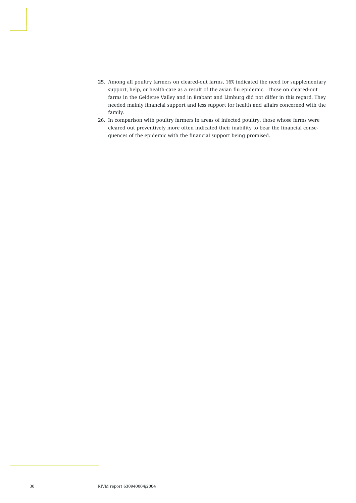- 25. Among all poultry farmers on cleared-out farms, 16% indicated the need for supplementary support, help, or health-care as a result of the avian flu epidemic. Those on cleared-out farms in the Gelderse Valley and in Brabant and Limburg did not differ in this regard. They needed mainly financial support and less support for health and affairs concerned with the family.
- 26. In comparison with poultry farmers in areas of infected poultry, those whose farms were cleared out preventively more often indicated their inability to bear the financial consequences of the epidemic with the financial support being promised.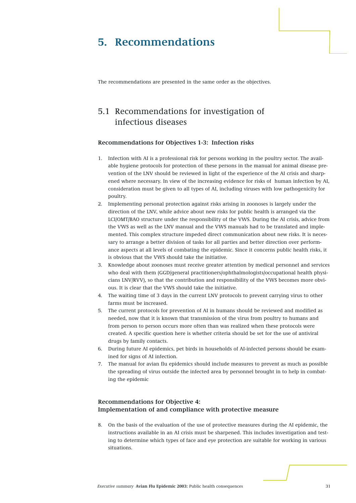## **5. Recommendations**

The recommendations are presented in the same order as the objectives.

## 5.1 Recommendations for investigation of infectious diseases

#### **Recommendations for Objectives 1-3: Infection risks**

- 1. Infection with AI is a professional risk for persons working in the poultry sector. The available hygiene protocols for protection of these persons in the manual for animal disease prevention of the LNV should be reviewed in light of the experience of the AI crisis and sharpened where necessary. In view of the increasing evidence for risks of human infection by AI, consideration must be given to all types of AI, including viruses with low pathogenicity for poultry.
- 2. Implementing personal protection against risks arising in zoonoses is largely under the direction of the LNV, while advice about new risks for public health is arranged via the LCI/OMT/BAO structure under the responsibility of the VWS. During the AI crisis, advice from the VWS as well as the LNV manual and the VWS manuals had to be translated and implemented. This complex structure impeded direct communication about new risks. It is necessary to arrange a better division of tasks for all parties and better direction over performance aspects at all levels of combating the epidemic. Since it concerns public health risks, it is obvious that the VWS should take the initiative.
- 3. Knowledge about zoonoses must receive greater attention by medical personnel and services who deal with them (GGD/general practitioners/ophthalmologists/occupational health physicians LNV/RVV), so that the contribution and responsibility of the VWS becomes more obvious. It is clear that the VWS should take the initiative.
- 4. The waiting time of 3 days in the current LNV protocols to prevent carrying virus to other farms must be increased.
- 5. The current protocols for prevention of AI in humans should be reviewed and modified as needed, now that it is known that transmission of the virus from poultry to humans and from person to person occurs more often than was realized when these protocols were created. A specific question here is whether criteria should be set for the use of antiviral drugs by family contacts.
- 6. During future AI epidemics, pet birds in households of AI-infected persons should be examined for signs of AI infection.
- 7. The manual for avian flu epidemics should include measures to prevent as much as possible the spreading of virus outside the infected area by personnel brought in to help in combating the epidemic

#### **Recommendations for Objective 4: Implementation of and compliance with protective measure**

8. On the basis of the evaluation of the use of protective measures during the AI epidemic, the instructions available in an AI crisis must be sharpened. This includes investigation and testing to determine which types of face and eye protection are suitable for working in various situations.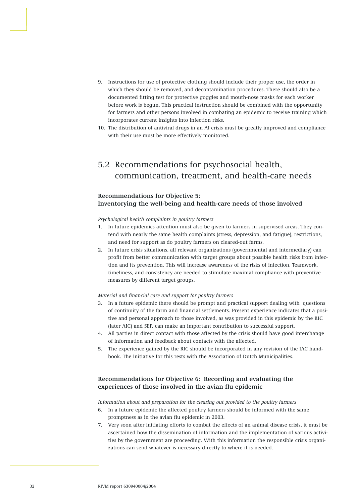- 9. Instructions for use of protective clothing should include their proper use, the order in which they should be removed, and decontamination procedures. There should also be a documented fitting test for protective goggles and mouth-nose masks for each worker before work is begun. This practical instruction should be combined with the opportunity for farmers and other persons involved in combating an epidemic to receive training which incorporates current insights into infection risks.
- 10. The distribution of antiviral drugs in an AI crisis must be greatly improved and compliance with their use must be more effectively monitored.

## 5.2 Recommendations for psychosocial health, communication, treatment, and health-care needs

#### **Recommendations for Objective 5: Inventorying the well-being and health-care needs of those involved**

*Psychological health complaints in poultry farmers*

- 1. In future epidemics attention must also be given to farmers in supervised areas. They contend with nearly the same health complaints (stress, depression, and fatigue), restrictions, and need for support as do poultry farmers on cleared-out farms.
- 2. In future crisis situations, all relevant organizations (governmental and intermediary) can profit from better communication with target groups about possible health risks from infection and its prevention. This will increase awareness of the risks of infection. Teamwork, timeliness, and consistency are needed to stimulate maximal compliance with preventive measures by different target groups.

#### *Material and financial care and support for poultry farmers*

- 3. In a future epidemic there should be prompt and practical support dealing with questions of continuity of the farm and financial settlements. Present experience indicates that a positive and personal approach to those involved, as was provided in this epidemic by the RIC (later AIC) and SEP, can make an important contribution to successful support.
- 4. All parties in direct contact with those affected by the crisis should have good interchange of information and feedback about contacts with the affected.
- 5. The experience gained by the RIC should be incorporated in any revision of the IAC handbook. The initiative for this rests with the Association of Dutch Municipalities.

#### **Recommendations for Objective 6: Recording and evaluating the experiences of those involved in the avian flu epidemic**

*Information about and preparation for the clearing out provided to the poultry farmers*

- 6. In a future epidemic the affected poultry farmers should be informed with the same promptness as in the avian flu epidemic in 2003.
- 7. Very soon after initiating efforts to combat the effects of an animal disease crisis, it must be ascertained how the dissemination of information and the implementation of various activities by the government are proceeding. With this information the responsible crisis organizations can send whatever is necessary directly to where it is needed.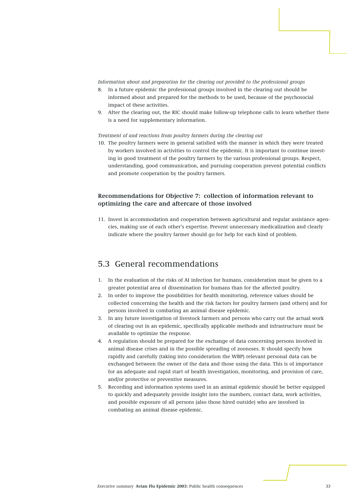#### *Information about and preparation for the clearing out provided to the professional groups*

- 8. In a future epidemic the professional groups involved in the clearing out should be informed about and prepared for the methods to be used, because of the psychosocial impact of these activities.
- 9. After the clearing out, the RIC should make follow-up telephone calls to learn whether there is a need for supplementary information.

#### *Treatment of and reactions from poultry farmers during the clearing out*

10. The poultry farmers were in general satisfied with the manner in which they were treated by workers involved in activities to control the epidemic. It is important to continue investing in good treatment of the poultry farmers by the various professional groups. Respect, understanding, good communication, and pursuing cooperation prevent potential conflicts and promote cooperation by the poultry farmers.

#### **Recommendations for Objective 7: collection of information relevant to optimizing the care and aftercare of those involved**

11. Invest in accommodation and cooperation between agricultural and regular assistance agencies, making use of each other's expertise. Prevent unnecessary medicalization and clearly indicate where the poultry farmer should go for help for each kind of problem.

#### 5.3 General recommendations

- 1. In the evaluation of the risks of AI infection for humans, consideration must be given to a greater potential area of dissemination for humans than for the affected poultry.
- 2. In order to improve the possibilities for health monitoring, reference values should be collected concerning the health and the risk factors for poultry farmers (and others) and for persons involved in combating an animal disease epidemic.
- 3. In any future investigation of livestock farmers and persons who carry out the actual work of clearing out in an epidemic, specifically applicable methods and infrastructure must be available to optimize the response.
- 4. A regulation should be prepared for the exchange of data concerning persons involved in animal disease crises and in the possible spreading of zoonoses. It should specify how rapidly and carefully (taking into consideration the WBP) relevant personal data can be exchanged between the owner of the data and those using the data. This is of importance for an adequate and rapid start of health investigation, monitoring, and provision of care, and/or protective or preventive measures.
- 5. Recording and information systems used in an animal epidemic should be better equipped to quickly and adequately provide insight into the numbers, contact data, work activities, and possible exposure of all persons (also those hired outside) who are involved in combating an animal disease epidemic.